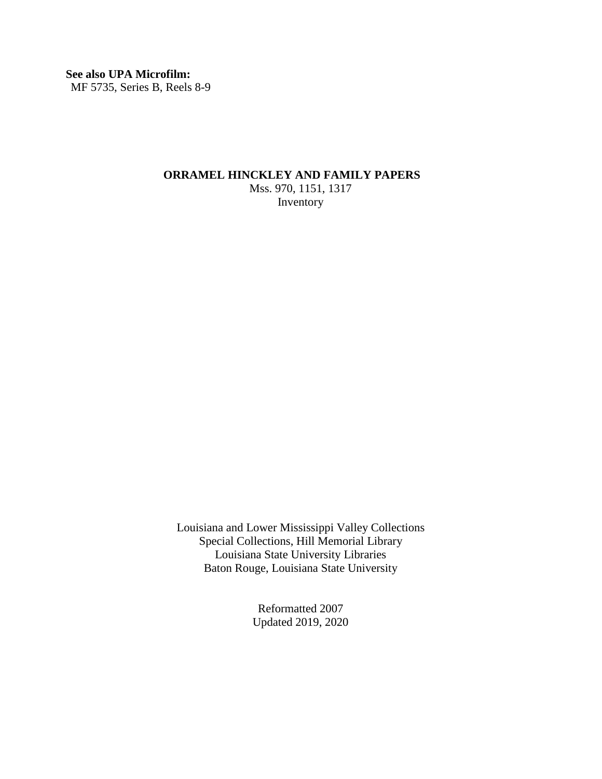### **See also UPA Microfilm:**

MF 5735, Series B, Reels 8-9

### **ORRAMEL HINCKLEY AND FAMILY PAPERS**

Mss. 970, 1151, 1317 Inventory

Louisiana and Lower Mississippi Valley Collections Special Collections, Hill Memorial Library Louisiana State University Libraries Baton Rouge, Louisiana State University

> Reformatted 2007 Updated 2019, 2020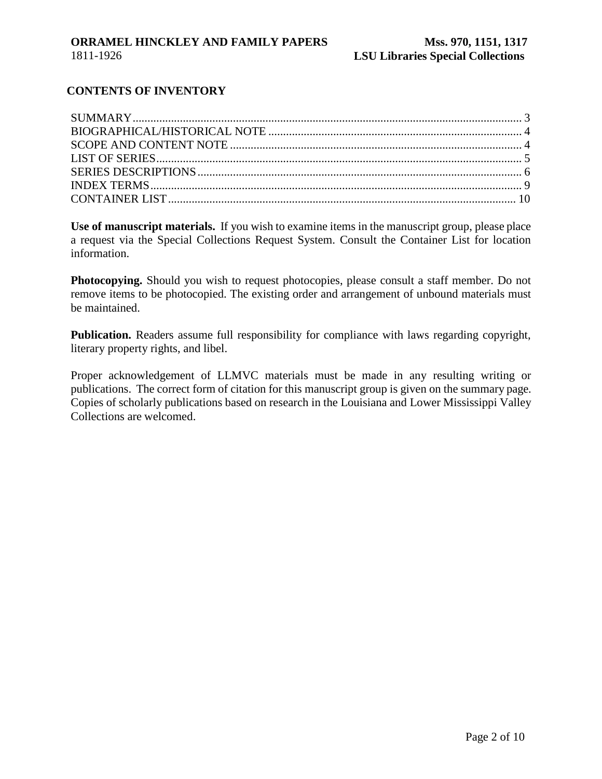## **CONTENTS OF INVENTORY**

**Use of manuscript materials.** If you wish to examine items in the manuscript group, please place a request via the Special Collections Request System. Consult the Container List for location information.

**Photocopying.** Should you wish to request photocopies, please consult a staff member. Do not remove items to be photocopied. The existing order and arrangement of unbound materials must be maintained.

**Publication.** Readers assume full responsibility for compliance with laws regarding copyright, literary property rights, and libel.

Proper acknowledgement of LLMVC materials must be made in any resulting writing or publications. The correct form of citation for this manuscript group is given on the summary page. Copies of scholarly publications based on research in the Louisiana and Lower Mississippi Valley Collections are welcomed.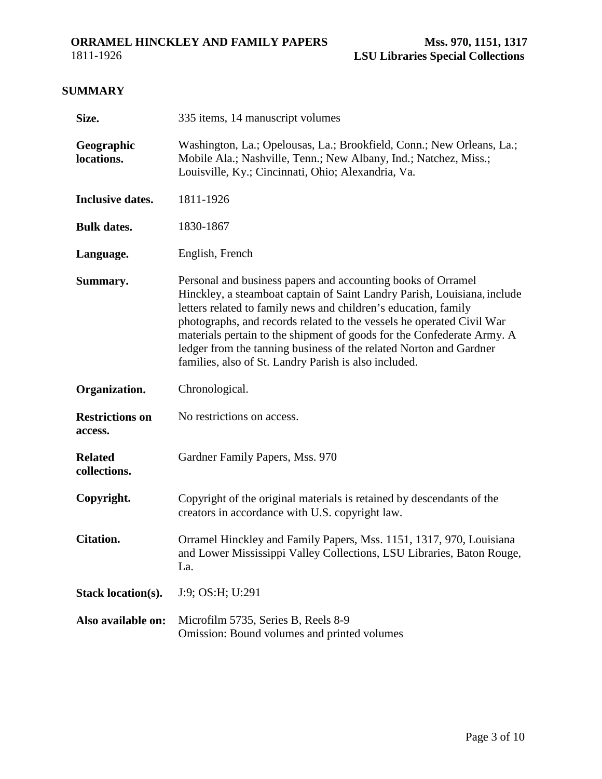## **SUMMARY**

<span id="page-2-0"></span>

| Size.                          | 335 items, 14 manuscript volumes                                                                                                                                                                                                                                                                                                                                                                                                                                                              |  |  |
|--------------------------------|-----------------------------------------------------------------------------------------------------------------------------------------------------------------------------------------------------------------------------------------------------------------------------------------------------------------------------------------------------------------------------------------------------------------------------------------------------------------------------------------------|--|--|
| Geographic<br>locations.       | Washington, La.; Opelousas, La.; Brookfield, Conn.; New Orleans, La.;<br>Mobile Ala.; Nashville, Tenn.; New Albany, Ind.; Natchez, Miss.;<br>Louisville, Ky.; Cincinnati, Ohio; Alexandria, Va.                                                                                                                                                                                                                                                                                               |  |  |
| <b>Inclusive dates.</b>        | 1811-1926                                                                                                                                                                                                                                                                                                                                                                                                                                                                                     |  |  |
| <b>Bulk dates.</b>             | 1830-1867                                                                                                                                                                                                                                                                                                                                                                                                                                                                                     |  |  |
| Language.                      | English, French                                                                                                                                                                                                                                                                                                                                                                                                                                                                               |  |  |
| Summary.                       | Personal and business papers and accounting books of Orramel<br>Hinckley, a steamboat captain of Saint Landry Parish, Louisiana, include<br>letters related to family news and children's education, family<br>photographs, and records related to the vessels he operated Civil War<br>materials pertain to the shipment of goods for the Confederate Army. A<br>ledger from the tanning business of the related Norton and Gardner<br>families, also of St. Landry Parish is also included. |  |  |
| Organization.                  | Chronological.                                                                                                                                                                                                                                                                                                                                                                                                                                                                                |  |  |
| <b>Restrictions on</b>         | No restrictions on access.                                                                                                                                                                                                                                                                                                                                                                                                                                                                    |  |  |
| access.                        |                                                                                                                                                                                                                                                                                                                                                                                                                                                                                               |  |  |
| <b>Related</b><br>collections. | Gardner Family Papers, Mss. 970                                                                                                                                                                                                                                                                                                                                                                                                                                                               |  |  |
| Copyright.                     | Copyright of the original materials is retained by descendants of the<br>creators in accordance with U.S. copyright law.                                                                                                                                                                                                                                                                                                                                                                      |  |  |
| <b>Citation.</b>               | Orramel Hinckley and Family Papers, Mss. 1151, 1317, 970, Louisiana<br>and Lower Mississippi Valley Collections, LSU Libraries, Baton Rouge,<br>La.                                                                                                                                                                                                                                                                                                                                           |  |  |
| <b>Stack location(s).</b>      | J:9; OS:H; U:291                                                                                                                                                                                                                                                                                                                                                                                                                                                                              |  |  |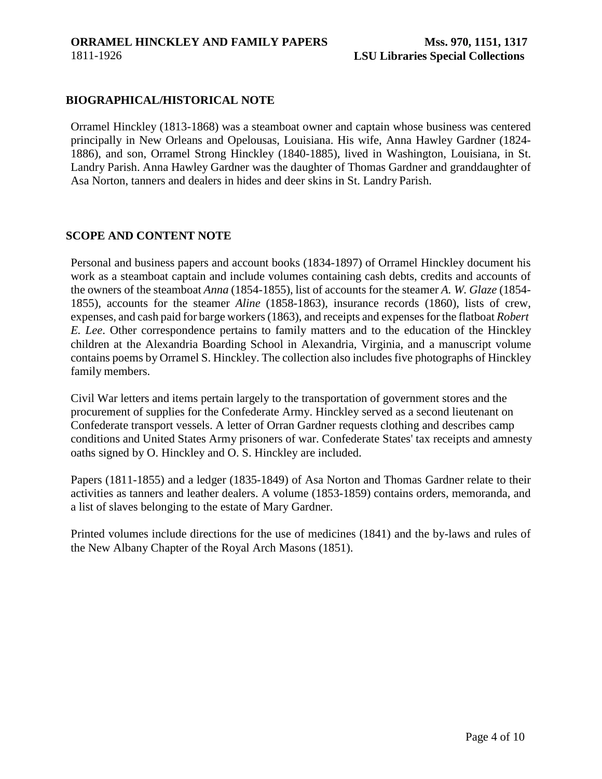## **BIOGRAPHICAL/HISTORICAL NOTE**

<span id="page-3-0"></span>Orramel Hinckley (1813-1868) was a steamboat owner and captain whose business was centered principally in New Orleans and Opelousas, Louisiana. His wife, Anna Hawley Gardner (1824- 1886), and son, Orramel Strong Hinckley (1840-1885), lived in Washington, Louisiana, in St. Landry Parish. Anna Hawley Gardner was the daughter of Thomas Gardner and granddaughter of Asa Norton, tanners and dealers in hides and deer skins in St. Landry Parish.

### <span id="page-3-1"></span>**SCOPE AND CONTENT NOTE**

Personal and business papers and account books (1834-1897) of Orramel Hinckley document his work as a steamboat captain and include volumes containing cash debts, credits and accounts of the owners of the steamboat *Anna* (1854-1855), list of accounts for the steamer *A. W. Glaze* (1854- 1855), accounts for the steamer *Aline* (1858-1863), insurance records (1860), lists of crew, expenses, and cash paid for barge workers(1863), and receipts and expensesfor the flatboat *Robert E. Lee*. Other correspondence pertains to family matters and to the education of the Hinckley children at the Alexandria Boarding School in Alexandria, Virginia, and a manuscript volume contains poems by Orramel S. Hinckley. The collection also includes five photographs of Hinckley family members.

Civil War letters and items pertain largely to the transportation of government stores and the procurement of supplies for the Confederate Army. Hinckley served as a second lieutenant on Confederate transport vessels. A letter of Orran Gardner requests clothing and describes camp conditions and United States Army prisoners of war. Confederate States' tax receipts and amnesty oaths signed by O. Hinckley and O. S. Hinckley are included.

Papers (1811-1855) and a ledger (1835-1849) of Asa Norton and Thomas Gardner relate to their activities as tanners and leather dealers. A volume (1853-1859) contains orders, memoranda, and a list of slaves belonging to the estate of Mary Gardner.

Printed volumes include directions for the use of medicines (1841) and the by-laws and rules of the New Albany Chapter of the Royal Arch Masons (1851).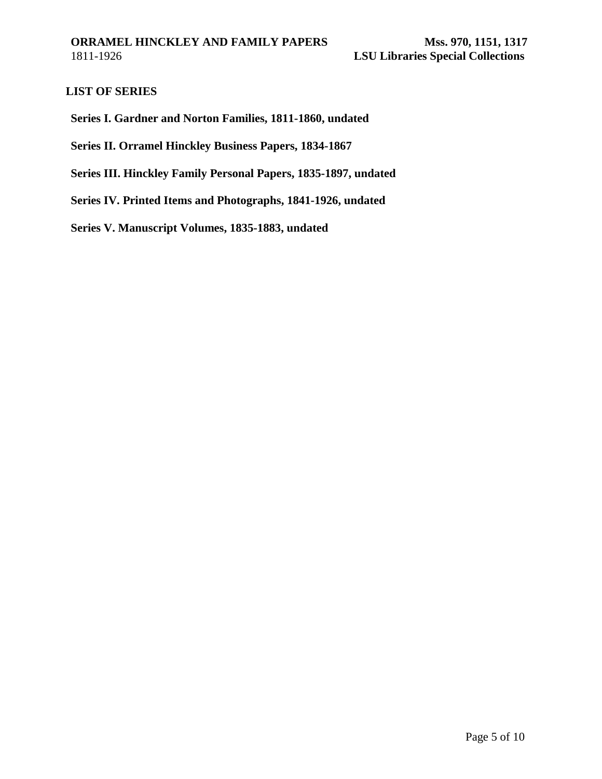## <span id="page-4-0"></span>**LIST OF SERIES**

**Series I. Gardner and Norton Families, 1811-1860, undated** 

**Series II. Orramel Hinckley Business Papers, 1834-1867**

**Series III. Hinckley Family Personal Papers, 1835-1897, undated** 

**Series IV. Printed Items and Photographs, 1841-1926, undated**

**Series V. Manuscript Volumes, 1835-1883, undated**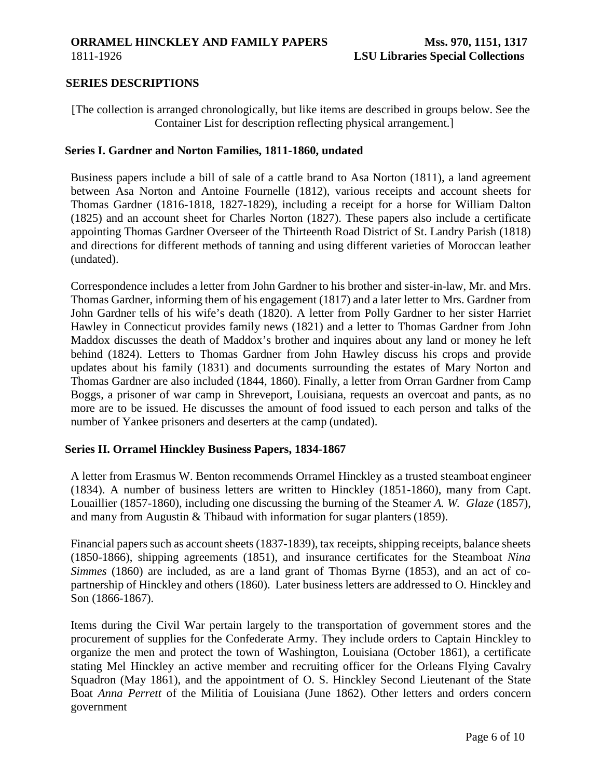#### **ORRAMEL HINCKLEY AND FAMILY PAPERS** 1811-1926

### <span id="page-5-0"></span>**SERIES DESCRIPTIONS**

[The collection is arranged chronologically, but like items are described in groups below. See the Container List for description reflecting physical arrangement.]

#### **Series I. Gardner and Norton Families, 1811-1860, undated**

Business papers include a bill of sale of a cattle brand to Asa Norton (1811), a land agreement between Asa Norton and Antoine Fournelle (1812), various receipts and account sheets for Thomas Gardner (1816-1818, 1827-1829), including a receipt for a horse for William Dalton (1825) and an account sheet for Charles Norton (1827). These papers also include a certificate appointing Thomas Gardner Overseer of the Thirteenth Road District of St. Landry Parish (1818) and directions for different methods of tanning and using different varieties of Moroccan leather (undated).

Correspondence includes a letter from John Gardner to his brother and sister-in-law, Mr. and Mrs. Thomas Gardner, informing them of his engagement (1817) and a later letter to Mrs. Gardner from John Gardner tells of his wife's death (1820). A letter from Polly Gardner to her sister Harriet Hawley in Connecticut provides family news (1821) and a letter to Thomas Gardner from John Maddox discusses the death of Maddox's brother and inquires about any land or money he left behind (1824). Letters to Thomas Gardner from John Hawley discuss his crops and provide updates about his family (1831) and documents surrounding the estates of Mary Norton and Thomas Gardner are also included (1844, 1860). Finally, a letter from Orran Gardner from Camp Boggs, a prisoner of war camp in Shreveport, Louisiana, requests an overcoat and pants, as no more are to be issued. He discusses the amount of food issued to each person and talks of the number of Yankee prisoners and deserters at the camp (undated).

### **Series II. Orramel Hinckley Business Papers, 1834-1867**

A letter from Erasmus W. Benton recommends Orramel Hinckley as a trusted steamboat engineer (1834). A number of business letters are written to Hinckley (1851-1860), many from Capt. Louaillier (1857-1860), including one discussing the burning of the Steamer *A. W. Glaze* (1857), and many from Augustin & Thibaud with information for sugar planters (1859).

Financial papers such as account sheets (1837-1839), tax receipts, shipping receipts, balance sheets (1850-1866), shipping agreements (1851), and insurance certificates for the Steamboat *Nina Simmes* (1860) are included, as are a land grant of Thomas Byrne (1853), and an act of copartnership of Hinckley and others (1860). Later business letters are addressed to O. Hinckley and Son (1866-1867).

Items during the Civil War pertain largely to the transportation of government stores and the procurement of supplies for the Confederate Army. They include orders to Captain Hinckley to organize the men and protect the town of Washington, Louisiana (October 1861), a certificate stating Mel Hinckley an active member and recruiting officer for the Orleans Flying Cavalry Squadron (May 1861), and the appointment of O. S. Hinckley Second Lieutenant of the State Boat *Anna Perrett* of the Militia of Louisiana (June 1862). Other letters and orders concern government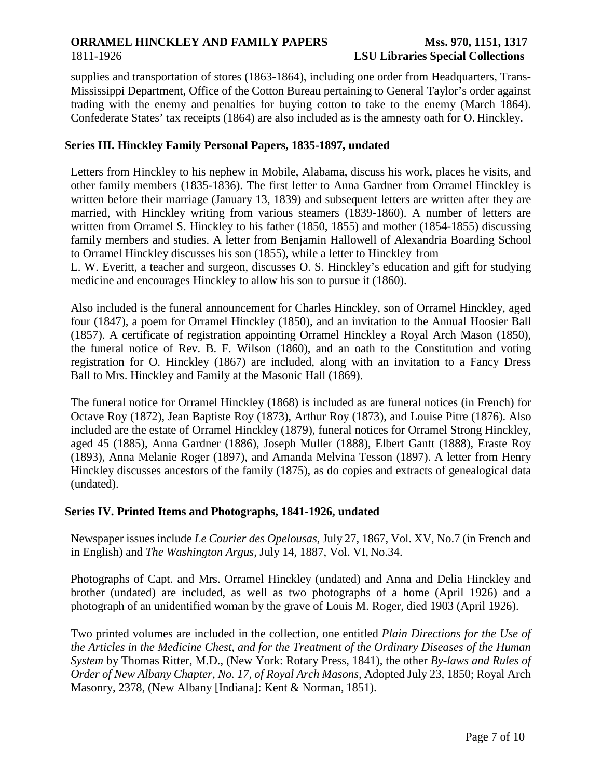# **ORRAMEL HINCKLEY AND FAMILY PAPERS**

### 1811-1926

## **Mss. 970, 1151, 1317 LSU Libraries Special Collections**

supplies and transportation of stores (1863-1864), including one order from Headquarters, Trans-Mississippi Department, Office of the Cotton Bureau pertaining to General Taylor's order against trading with the enemy and penalties for buying cotton to take to the enemy (March 1864). Confederate States' tax receipts (1864) are also included as is the amnesty oath for O. Hinckley.

# **Series III. Hinckley Family Personal Papers, 1835-1897, undated**

Letters from Hinckley to his nephew in Mobile, Alabama, discuss his work, places he visits, and other family members (1835-1836). The first letter to Anna Gardner from Orramel Hinckley is written before their marriage (January 13, 1839) and subsequent letters are written after they are married, with Hinckley writing from various steamers (1839-1860). A number of letters are written from Orramel S. Hinckley to his father (1850, 1855) and mother (1854-1855) discussing family members and studies. A letter from Benjamin Hallowell of Alexandria Boarding School to Orramel Hinckley discusses his son (1855), while a letter to Hinckley from

L. W. Everitt, a teacher and surgeon, discusses O. S. Hinckley's education and gift for studying medicine and encourages Hinckley to allow his son to pursue it (1860).

Also included is the funeral announcement for Charles Hinckley, son of Orramel Hinckley, aged four (1847), a poem for Orramel Hinckley (1850), and an invitation to the Annual Hoosier Ball (1857). A certificate of registration appointing Orramel Hinckley a Royal Arch Mason (1850), the funeral notice of Rev. B. F. Wilson (1860), and an oath to the Constitution and voting registration for O. Hinckley (1867) are included, along with an invitation to a Fancy Dress Ball to Mrs. Hinckley and Family at the Masonic Hall (1869).

The funeral notice for Orramel Hinckley (1868) is included as are funeral notices (in French) for Octave Roy (1872), Jean Baptiste Roy (1873), Arthur Roy (1873), and Louise Pitre (1876). Also included are the estate of Orramel Hinckley (1879), funeral notices for Orramel Strong Hinckley, aged 45 (1885), Anna Gardner (1886), Joseph Muller (1888), Elbert Gantt (1888), Eraste Roy (1893), Anna Melanie Roger (1897), and Amanda Melvina Tesson (1897). A letter from Henry Hinckley discusses ancestors of the family (1875), as do copies and extracts of genealogical data (undated).

## **Series IV. Printed Items and Photographs, 1841-1926, undated**

Newspaper issues include *Le Courier des Opelousas*, July 27, 1867, Vol. XV, No.7 (in French and in English) and *The Washington Argus,* July 14, 1887, Vol. VI, No.34.

Photographs of Capt. and Mrs. Orramel Hinckley (undated) and Anna and Delia Hinckley and brother (undated) are included, as well as two photographs of a home (April 1926) and a photograph of an unidentified woman by the grave of Louis M. Roger, died 1903 (April 1926).

Two printed volumes are included in the collection, one entitled *Plain Directions for the Use of the Articles in the Medicine Chest, and for the Treatment of the Ordinary Diseases of the Human System* by Thomas Ritter, M.D., (New York: Rotary Press, 1841), the other *By-laws and Rules of Order of New Albany Chapter, No. 17, of Royal Arch Masons,* Adopted July 23, 1850; Royal Arch Masonry, 2378, (New Albany [Indiana]: Kent & Norman, 1851).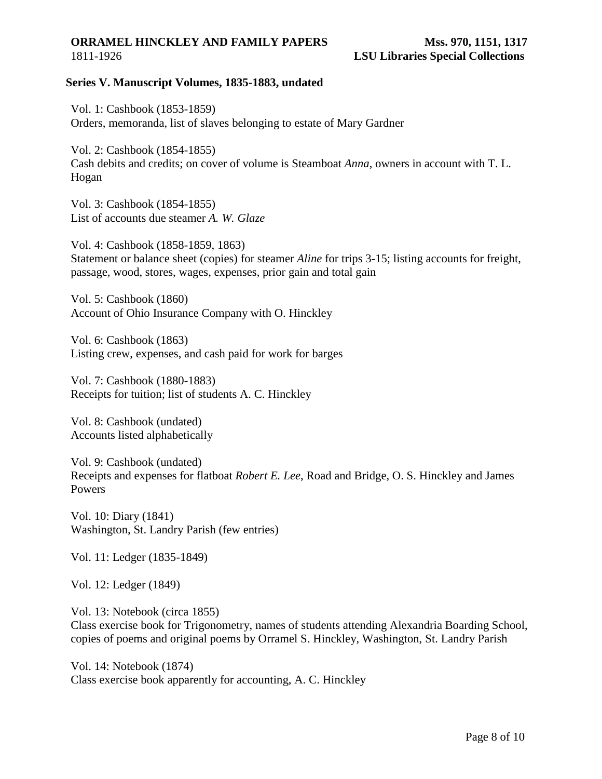#### **ORRAMEL HINCKLEY AND FAMILY PAPERS** 1811-1926

## **Series V. Manuscript Volumes, 1835-1883, undated**

Vol. 1: Cashbook (1853-1859) Orders, memoranda, list of slaves belonging to estate of Mary Gardner

Vol. 2: Cashbook (1854-1855) Cash debits and credits; on cover of volume is Steamboat *Anna*, owners in account with T. L. Hogan

Vol. 3: Cashbook (1854-1855) List of accounts due steamer *A. W. Glaze*

Vol. 4: Cashbook (1858-1859, 1863) Statement or balance sheet (copies) for steamer *Aline* for trips 3-15; listing accounts for freight, passage, wood, stores, wages, expenses, prior gain and total gain

Vol. 5: Cashbook (1860) Account of Ohio Insurance Company with O. Hinckley

Vol. 6: Cashbook (1863) Listing crew, expenses, and cash paid for work for barges

Vol. 7: Cashbook (1880-1883) Receipts for tuition; list of students A. C. Hinckley

Vol. 8: Cashbook (undated) Accounts listed alphabetically

Vol. 9: Cashbook (undated) Receipts and expenses for flatboat *Robert E. Lee*, Road and Bridge, O. S. Hinckley and James Powers

Vol. 10: Diary (1841) Washington, St. Landry Parish (few entries)

Vol. 11: Ledger (1835-1849)

Vol. 12: Ledger (1849)

Vol. 13: Notebook (circa 1855) Class exercise book for Trigonometry, names of students attending Alexandria Boarding School, copies of poems and original poems by Orramel S. Hinckley, Washington, St. Landry Parish

Vol. 14: Notebook (1874) Class exercise book apparently for accounting, A. C. Hinckley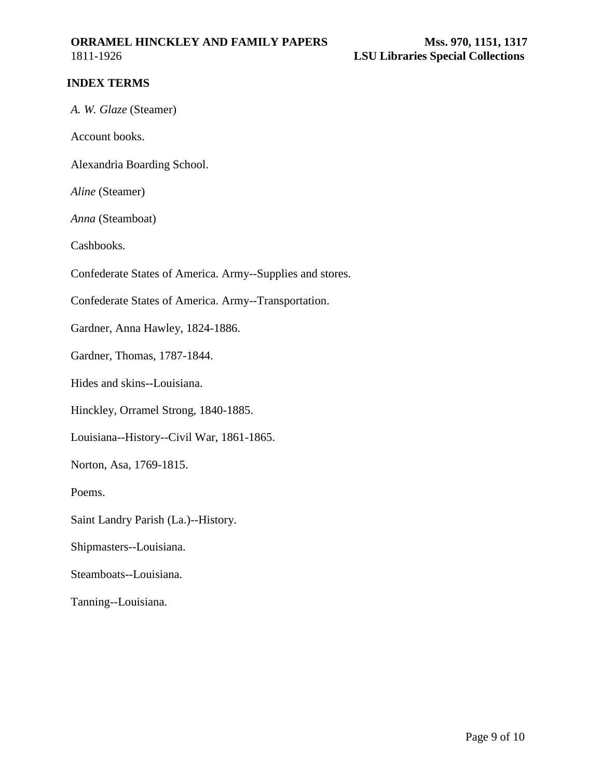# **ORRAMEL HINCKLEY AND FAMILY PAPERS**

<span id="page-8-0"></span>1811-1926

## **INDEX TERMS**

|  |  |  | A. W. Glaze (Steamer) |
|--|--|--|-----------------------|
|--|--|--|-----------------------|

Account books.

Alexandria Boarding School.

*Aline* (Steamer)

*Anna* (Steamboat)

Cashbooks.

Confederate States of America. Army--Supplies and stores.

Confederate States of America. Army--Transportation.

Gardner, Anna Hawley, 1824-1886.

Gardner, Thomas, 1787-1844.

Hides and skins--Louisiana.

Hinckley, Orramel Strong, 1840-1885.

Louisiana--History--Civil War, 1861-1865.

Norton, Asa, 1769-1815.

Poems.

Saint Landry Parish (La.)--History.

Shipmasters--Louisiana.

Steamboats--Louisiana.

Tanning--Louisiana.